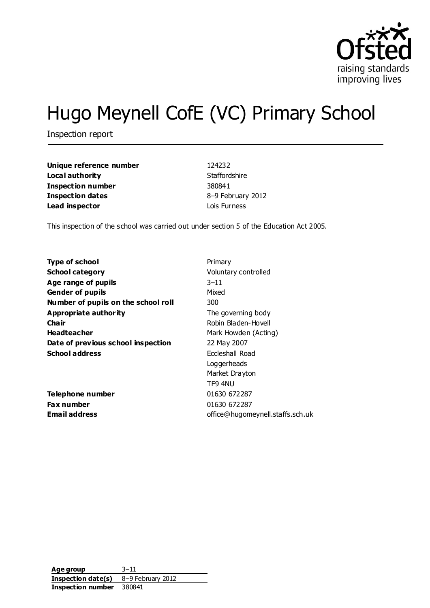

# Hugo Meynell CofE (VC) Primary School

Inspection report

| Unique reference number | 124232            |
|-------------------------|-------------------|
| Local authority         | Staffordshire     |
| Inspection number       | 380841            |
| Inspection dates        | 8-9 February 2012 |
| Lead inspector          | Lois Furness      |

This inspection of the school was carried out under section 5 of the Education Act 2005.

| <b>Type of school</b>               | Primary                          |
|-------------------------------------|----------------------------------|
| <b>School category</b>              | Voluntary controlled             |
| Age range of pupils                 | $3 - 11$                         |
| <b>Gender of pupils</b>             | Mixed                            |
| Number of pupils on the school roll | 300                              |
| Appropriate authority               | The governing body               |
| Cha ir                              | Robin Bladen-Hovell              |
| <b>Headteacher</b>                  | Mark Howden (Acting)             |
| Date of previous school inspection  | 22 May 2007                      |
| <b>School address</b>               | Eccleshall Road                  |
|                                     | Loggerheads                      |
|                                     | Market Drayton                   |
|                                     | TF9 4NU                          |
| Telephone number                    | 01630 672287                     |
| Fax number                          | 01630 672287                     |
| Email address                       | office@hugomeynell.staffs.sch.uk |

**Age group** 3–11 **Inspection date(s)** 8–9 February 2012 **Inspection number** 380841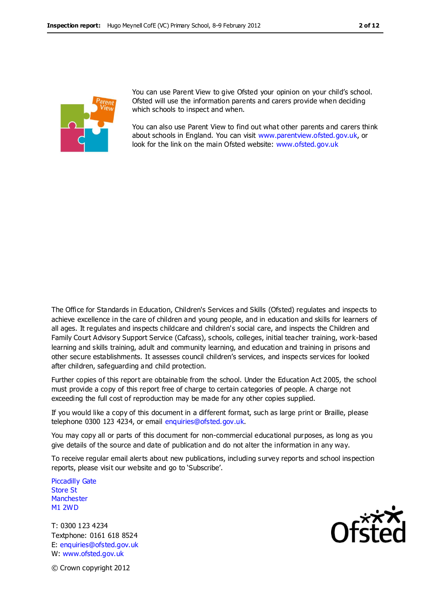

You can use Parent View to give Ofsted your opinion on your child's school. Ofsted will use the information parents and carers provide when deciding which schools to inspect and when.

You can also use Parent View to find out what other parents and carers think about schools in England. You can visit [www.parentview.ofsted.gov.uk,](http://www.parentview.ofsted.gov.uk/) or look for the link on the main Ofsted website: [www.ofsted.gov.uk](http://www.ofsted.gov.uk/)

The Office for Standards in Education, Children's Services and Skills (Ofsted) regulates and inspects to achieve excellence in the care of children and young people, and in education and skills for learners of all ages. It regulates and inspects childcare and children's social care, and inspects the Children and Family Court Advisory Support Service (Cafcass), schools, colleges, initial teacher training, work-based learning and skills training, adult and community learning, and education and training in prisons and other secure establishments. It assesses council children's services, and inspects services for looked after children, safeguarding and child protection.

Further copies of this report are obtainable from the school. Under the Education Act 2005, the school must provide a copy of this report free of charge to certain categories of people. A charge not exceeding the full cost of reproduction may be made for any other copies supplied.

If you would like a copy of this document in a different format, such as large print or Braille, please telephone 0300 123 4234, or email enquiries@ofsted.gov.uk.

You may copy all or parts of this document for non-commercial educational purposes, as long as you give details of the source and date of publication and do not alter the information in any way.

To receive regular email alerts about new publications, including survey reports and school inspection reports, please visit our website and go to 'Subscribe'.

Piccadilly Gate Store St **Manchester** M1 2WD

T: 0300 123 4234 Textphone: 0161 618 8524 E: enquiries@ofsted.gov.uk W: www.ofsted.gov.uk



© Crown copyright 2012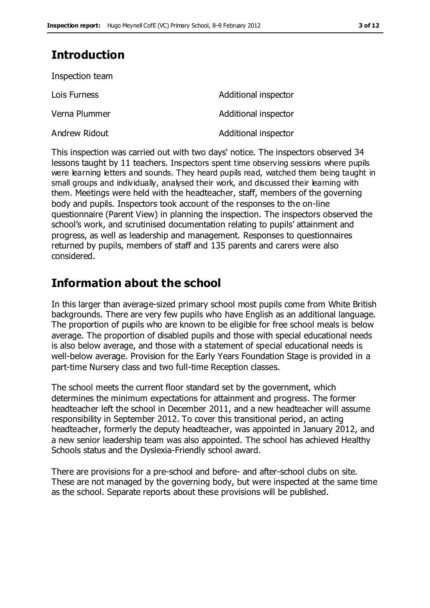# **Introduction**

| Inspection team |                      |
|-----------------|----------------------|
| Lois Furness    | Additional inspector |
| Verna Plummer   | Additional inspector |
| Andrew Ridout   | Additional inspector |

This inspection was carried out with two days' notice. The inspectors observed 34 lessons taught by 11 teachers. Inspectors spent time observing sessions where pupils were learning letters and sounds. They heard pupils read, watched them being taught in small groups and individually, analysed their work, and discussed their learning with them. Meetings were held with the headteacher, staff, members of the governing body and pupils. Inspectors took account of the responses to the on-line questionnaire (Parent View) in planning the inspection. The inspectors observed the school's work, and scrutinised documentation relating to pupils' attainment and progress, as well as leadership and management. Responses to questionnaires returned by pupils, members of staff and 135 parents and carers were also considered.

# **Information about the school**

In this larger than average-sized primary school most pupils come from White British backgrounds. There are very few pupils who have English as an additional language. The proportion of pupils who are known to be eligible for free school meals is below average. The proportion of disabled pupils and those with special educational needs is also below average, and those with a statement of special educational needs is well-below average. Provision for the Early Years Foundation Stage is provided in a part-time Nursery class and two full-time Reception classes.

The school meets the current floor standard set by the government, which determines the minimum expectations for attainment and progress. The former headteacher left the school in December 2011, and a new headteacher will assume responsibility in September 2012. To cover this transitional period, an acting headteacher, formerly the deputy headteacher, was appointed in January 2012, and a new senior leadership team was also appointed. The school has achieved Healthy Schools status and the Dyslexia-Friendly school award.

There are provisions for a pre-school and before- and after-school clubs on site. These are not managed by the governing body, but were inspected at the same time as the school. Separate reports about these provisions will be published.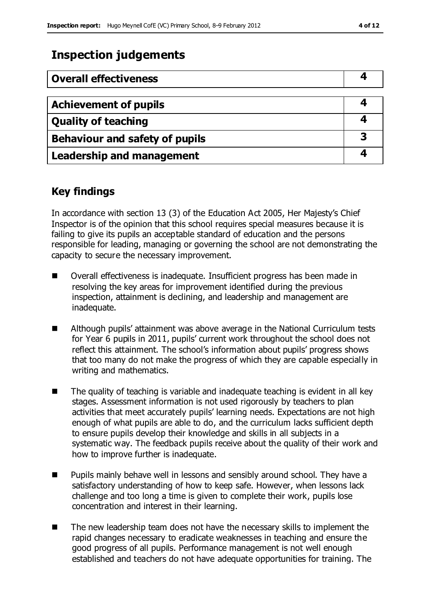# **Inspection judgements**

| <b>Overall effectiveness</b>     |   |
|----------------------------------|---|
|                                  |   |
| <b>Achievement of pupils</b>     |   |
| <b>Quality of teaching</b>       |   |
| Behaviour and safety of pupils   | 3 |
| <b>Leadership and management</b> |   |

# **Key findings**

In accordance with section 13 (3) of the Education Act 2005, Her Majesty's Chief Inspector is of the opinion that this school requires special measures because it is failing to give its pupils an acceptable standard of education and the persons responsible for leading, managing or governing the school are not demonstrating the capacity to secure the necessary improvement.

- Overall effectiveness is inadequate. Insufficient progress has been made in resolving the key areas for improvement identified during the previous inspection, attainment is declining, and leadership and management are inadequate.
- Although pupils' attainment was above average in the National Curriculum tests for Year 6 pupils in 2011, pupils' current work throughout the school does not reflect this attainment. The school's information about pupils' progress shows that too many do not make the progress of which they are capable especially in writing and mathematics.
- The quality of teaching is variable and inadequate teaching is evident in all key stages. Assessment information is not used rigorously by teachers to plan activities that meet accurately pupils' learning needs. Expectations are not high enough of what pupils are able to do, and the curriculum lacks sufficient depth to ensure pupils develop their knowledge and skills in all subjects in a systematic way. The feedback pupils receive about the quality of their work and how to improve further is inadequate.
- **Pupils mainly behave well in lessons and sensibly around school. They have a** satisfactory understanding of how to keep safe. However, when lessons lack challenge and too long a time is given to complete their work, pupils lose concentration and interest in their learning.
- The new leadership team does not have the necessary skills to implement the rapid changes necessary to eradicate weaknesses in teaching and ensure the good progress of all pupils. Performance management is not well enough established and teachers do not have adequate opportunities for training. The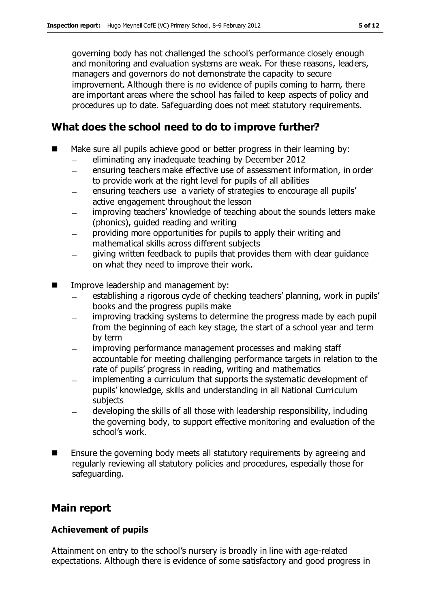governing body has not challenged the school's performance closely enough and monitoring and evaluation systems are weak. For these reasons, leaders, managers and governors do not demonstrate the capacity to secure improvement. Although there is no evidence of pupils coming to harm, there are important areas where the school has failed to keep aspects of policy and procedures up to date. Safeguarding does not meet statutory requirements.

# **What does the school need to do to improve further?**

- Make sure all pupils achieve good or better progress in their learning by:
	- eliminating any inadequate teaching by December 2012  $\equiv$
	- ensuring teachers make effective use of assessment information, in order  $\equiv$ to provide work at the right level for pupils of all abilities
	- ensuring teachers use a variety of strategies to encourage all pupils'  $\overline{\phantom{0}}$ active engagement throughout the lesson
	- improving teachers' knowledge of teaching about the sounds letters make (phonics), guided reading and writing
	- providing more opportunities for pupils to apply their writing and mathematical skills across different subjects
	- giving written feedback to pupils that provides them with clear guidance on what they need to improve their work.
- Improve leadership and management by:
	- establishing a rigorous cycle of checking teachers' planning, work in pupils' books and the progress pupils make
	- improving tracking systems to determine the progress made by each pupil  $\equiv$ from the beginning of each key stage, the start of a school year and term by term
	- improving performance management processes and making staff accountable for meeting challenging performance targets in relation to the rate of pupils' progress in reading, writing and mathematics
	- implementing a curriculum that supports the systematic development of pupils' knowledge, skills and understanding in all National Curriculum subjects
	- developing the skills of all those with leadership responsibility, including the governing body, to support effective monitoring and evaluation of the school's work.
- Ensure the governing body meets all statutory requirements by agreeing and regularly reviewing all statutory policies and procedures, especially those for safeguarding.

# **Main report**

#### **Achievement of pupils**

Attainment on entry to the school's nursery is broadly in line with age-related expectations. Although there is evidence of some satisfactory and good progress in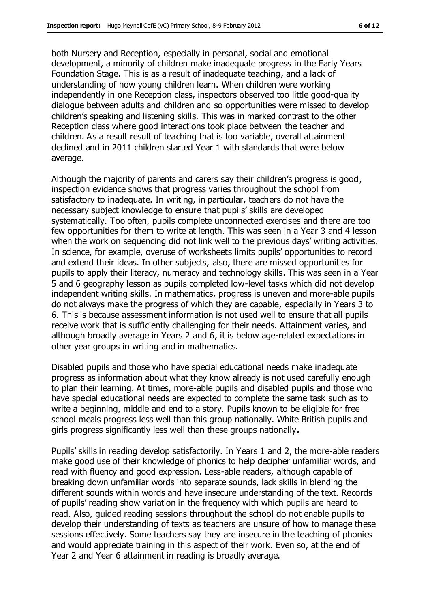both Nursery and Reception, especially in personal, social and emotional development, a minority of children make inadequate progress in the Early Years Foundation Stage. This is as a result of inadequate teaching, and a lack of understanding of how young children learn. When children were working independently in one Reception class, inspectors observed too little good-quality dialogue between adults and children and so opportunities were missed to develop children's speaking and listening skills. This was in marked contrast to the other Reception class where good interactions took place between the teacher and children. As a result result of teaching that is too variable, overall attainment declined and in 2011 children started Year 1 with standards that were below average.

Although the majority of parents and carers say their children's progress is good, inspection evidence shows that progress varies throughout the school from satisfactory to inadequate. In writing, in particular, teachers do not have the necessary subject knowledge to ensure that pupils' skills are developed systematically. Too often, pupils complete unconnected exercises and there are too few opportunities for them to write at length. This was seen in a Year 3 and 4 lesson when the work on sequencing did not link well to the previous days' writing activities. In science, for example, overuse of worksheets limits pupils' opportunities to record and extend their ideas. In other subjects, also, there are missed opportunities for pupils to apply their literacy, numeracy and technology skills. This was seen in a Year 5 and 6 geography lesson as pupils completed low-level tasks which did not develop independent writing skills. In mathematics, progress is uneven and more-able pupils do not always make the progress of which they are capable, especially in Years 3 to 6. This is because assessment information is not used well to ensure that all pupils receive work that is sufficiently challenging for their needs. Attainment varies, and although broadly average in Years 2 and 6, it is below age-related expectations in other year groups in writing and in mathematics.

Disabled pupils and those who have special educational needs make inadequate progress as information about what they know already is not used carefully enough to plan their learning. At times, more-able pupils and disabled pupils and those who have special educational needs are expected to complete the same task such as to write a beginning, middle and end to a story. Pupils known to be eligible for free school meals progress less well than this group nationally. White British pupils and girls progress significantly less well than these groups nationally**.**

Pupils' skills in reading develop satisfactorily. In Years 1 and 2, the more-able readers make good use of their knowledge of phonics to help decipher unfamiliar words, and read with fluency and good expression. Less-able readers, although capable of breaking down unfamiliar words into separate sounds, lack skills in blending the different sounds within words and have insecure understanding of the text. Records of pupils' reading show variation in the frequency with which pupils are heard to read. Also, guided reading sessions throughout the school do not enable pupils to develop their understanding of texts as teachers are unsure of how to manage these sessions effectively. Some teachers say they are insecure in the teaching of phonics and would appreciate training in this aspect of their work. Even so, at the end of Year 2 and Year 6 attainment in reading is broadly average.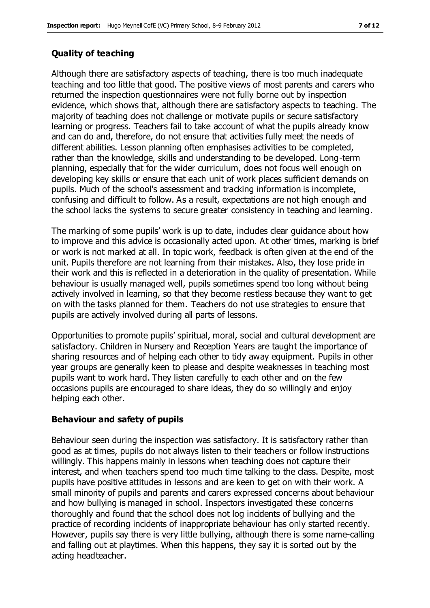### **Quality of teaching**

Although there are satisfactory aspects of teaching, there is too much inadequate teaching and too little that good. The positive views of most parents and carers who returned the inspection questionnaires were not fully borne out by inspection evidence, which shows that, although there are satisfactory aspects to teaching. The majority of teaching does not challenge or motivate pupils or secure satisfactory learning or progress. Teachers fail to take account of what the pupils already know and can do and, therefore, do not ensure that activities fully meet the needs of different abilities. Lesson planning often emphasises activities to be completed, rather than the knowledge, skills and understanding to be developed. Long-term planning, especially that for the wider curriculum, does not focus well enough on developing key skills or ensure that each unit of work places sufficient demands on pupils. Much of the school's assessment and tracking information is incomplete, confusing and difficult to follow. As a result, expectations are not high enough and the school lacks the systems to secure greater consistency in teaching and learning.

The marking of some pupils' work is up to date, includes clear guidance about how to improve and this advice is occasionally acted upon. At other times, marking is brief or work is not marked at all. In topic work, feedback is often given at the end of the unit. Pupils therefore are not learning from their mistakes. Also, they lose pride in their work and this is reflected in a deterioration in the quality of presentation. While behaviour is usually managed well, pupils sometimes spend too long without being actively involved in learning, so that they become restless because they want to get on with the tasks planned for them. Teachers do not use strategies to ensure that pupils are actively involved during all parts of lessons.

Opportunities to promote pupils' spiritual, moral, social and cultural development are satisfactory. Children in Nursery and Reception Years are taught the importance of sharing resources and of helping each other to tidy away equipment. Pupils in other year groups are generally keen to please and despite weaknesses in teaching most pupils want to work hard. They listen carefully to each other and on the few occasions pupils are encouraged to share ideas, they do so willingly and enjoy helping each other.

#### **Behaviour and safety of pupils**

Behaviour seen during the inspection was satisfactory. It is satisfactory rather than good as at times, pupils do not always listen to their teachers or follow instructions willingly. This happens mainly in lessons when teaching does not capture their interest, and when teachers spend too much time talking to the class. Despite, most pupils have positive attitudes in lessons and are keen to get on with their work. A small minority of pupils and parents and carers expressed concerns about behaviour and how bullying is managed in school. Inspectors investigated these concerns thoroughly and found that the school does not log incidents of bullying and the practice of recording incidents of inappropriate behaviour has only started recently. However, pupils say there is very little bullying, although there is some name-calling and falling out at playtimes. When this happens, they say it is sorted out by the acting headteacher.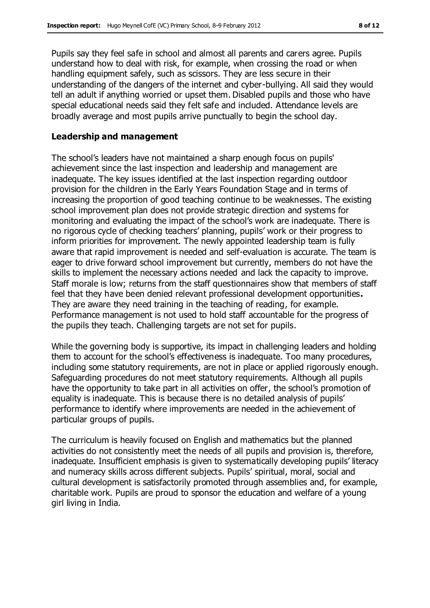Pupils say they feel safe in school and almost all parents and carers agree. Pupils understand how to deal with risk, for example, when crossing the road or when handling equipment safely, such as scissors. They are less secure in their understanding of the dangers of the internet and cyber-bullying. All said they would tell an adult if anything worried or upset them. Disabled pupils and those who have special educational needs said they felt safe and included. Attendance levels are broadly average and most pupils arrive punctually to begin the school day.

#### **Leadership and management**

The school's leaders have not maintained a sharp enough focus on pupils' achievement since the last inspection and leadership and management are inadequate. The key issues identified at the last inspection regarding outdoor provision for the children in the Early Years Foundation Stage and in terms of increasing the proportion of good teaching continue to be weaknesses. The existing school improvement plan does not provide strategic direction and systems for monitoring and evaluating the impact of the school's work are inadequate. There is no rigorous cycle of checking teachers' planning, pupils' work or their progress to inform priorities for improvement. The newly appointed leadership team is fully aware that rapid improvement is needed and self-evaluation is accurate. The team is eager to drive forward school improvement but currently, members do not have the skills to implement the necessary actions needed and lack the capacity to improve. Staff morale is low; returns from the staff questionnaires show that members of staff feel that they have been denied relevant professional development opportunities**.** They are aware they need training in the teaching of reading, for example. Performance management is not used to hold staff accountable for the progress of the pupils they teach. Challenging targets are not set for pupils.

While the governing body is supportive, its impact in challenging leaders and holding them to account for the school's effectiveness is inadequate. Too many procedures, including some statutory requirements, are not in place or applied rigorously enough. Safeguarding procedures do not meet statutory requirements. Although all pupils have the opportunity to take part in all activities on offer, the school's promotion of equality is inadequate. This is because there is no detailed analysis of pupils' performance to identify where improvements are needed in the achievement of particular groups of pupils.

The curriculum is heavily focused on English and mathematics but the planned activities do not consistently meet the needs of all pupils and provision is, therefore, inadequate. Insufficient emphasis is given to systematically developing pupils' literacy and numeracy skills across different subjects. Pupils' spiritual, moral, social and cultural development is satisfactorily promoted through assemblies and, for example, charitable work. Pupils are proud to sponsor the education and welfare of a young girl living in India.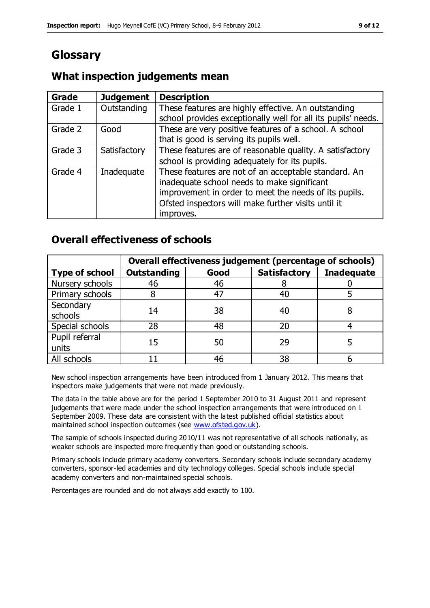# **Glossary**

# **What inspection judgements mean**

| Grade   | <b>Judgement</b> | <b>Description</b>                                                                                                                                                                                                               |
|---------|------------------|----------------------------------------------------------------------------------------------------------------------------------------------------------------------------------------------------------------------------------|
| Grade 1 | Outstanding      | These features are highly effective. An outstanding<br>school provides exceptionally well for all its pupils' needs.                                                                                                             |
| Grade 2 | Good             | These are very positive features of a school. A school<br>that is good is serving its pupils well.                                                                                                                               |
| Grade 3 | Satisfactory     | These features are of reasonable quality. A satisfactory<br>school is providing adequately for its pupils.                                                                                                                       |
| Grade 4 | Inadequate       | These features are not of an acceptable standard. An<br>inadequate school needs to make significant<br>improvement in order to meet the needs of its pupils.<br>Ofsted inspectors will make further visits until it<br>improves. |

# **Overall effectiveness of schools**

|                         | Overall effectiveness judgement (percentage of schools) |      |                     |                   |
|-------------------------|---------------------------------------------------------|------|---------------------|-------------------|
| <b>Type of school</b>   | <b>Outstanding</b>                                      | Good | <b>Satisfactory</b> | <b>Inadequate</b> |
| Nursery schools         | 46                                                      | 46   |                     |                   |
| Primary schools         |                                                         | 47   | 40                  |                   |
| Secondary<br>schools    | 14                                                      | 38   | 40                  |                   |
| Special schools         | 28                                                      | 48   | 20                  |                   |
| Pupil referral<br>units | 15                                                      | 50   | 29                  |                   |
| All schools             |                                                         | 46   | 38                  |                   |

New school inspection arrangements have been introduced from 1 January 2012. This means that inspectors make judgements that were not made previously.

The data in the table above are for the period 1 September 2010 to 31 August 2011 and represent judgements that were made under the school inspection arrangements that were introduced on 1 September 2009. These data are consistent with the latest published official statistics about maintained school inspection outcomes (see [www.ofsted.gov.uk\)](http://www.ofsted.gov.uk/).

The sample of schools inspected during 2010/11 was not representative of all schools nationally, as weaker schools are inspected more frequently than good or outstanding schools.

Primary schools include primary academy converters. Secondary schools include secondary academy converters, sponsor-led academies and city technology colleges. Special schools include special academy converters and non-maintained special schools.

Percentages are rounded and do not always add exactly to 100.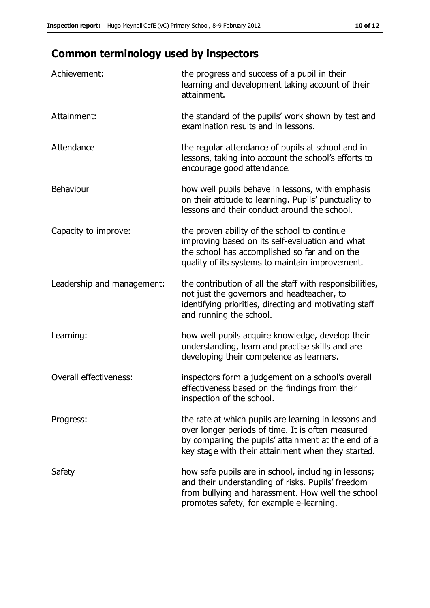# **Common terminology used by inspectors**

| Achievement:                  | the progress and success of a pupil in their<br>learning and development taking account of their<br>attainment.                                                                                                        |
|-------------------------------|------------------------------------------------------------------------------------------------------------------------------------------------------------------------------------------------------------------------|
| Attainment:                   | the standard of the pupils' work shown by test and<br>examination results and in lessons.                                                                                                                              |
| Attendance                    | the regular attendance of pupils at school and in<br>lessons, taking into account the school's efforts to<br>encourage good attendance.                                                                                |
| Behaviour                     | how well pupils behave in lessons, with emphasis<br>on their attitude to learning. Pupils' punctuality to<br>lessons and their conduct around the school.                                                              |
| Capacity to improve:          | the proven ability of the school to continue<br>improving based on its self-evaluation and what<br>the school has accomplished so far and on the<br>quality of its systems to maintain improvement.                    |
| Leadership and management:    | the contribution of all the staff with responsibilities,<br>not just the governors and headteacher, to<br>identifying priorities, directing and motivating staff<br>and running the school.                            |
| Learning:                     | how well pupils acquire knowledge, develop their<br>understanding, learn and practise skills and are<br>developing their competence as learners.                                                                       |
| <b>Overall effectiveness:</b> | inspectors form a judgement on a school's overall<br>effectiveness based on the findings from their<br>inspection of the school.                                                                                       |
| Progress:                     | the rate at which pupils are learning in lessons and<br>over longer periods of time. It is often measured<br>by comparing the pupils' attainment at the end of a<br>key stage with their attainment when they started. |
| Safety                        | how safe pupils are in school, including in lessons;<br>and their understanding of risks. Pupils' freedom<br>from bullying and harassment. How well the school<br>promotes safety, for example e-learning.             |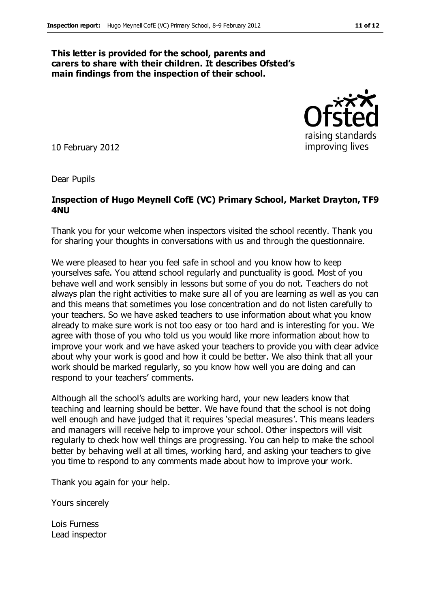#### **This letter is provided for the school, parents and carers to share with their children. It describes Ofsted's main findings from the inspection of their school.**

10 February 2012

Dear Pupils

#### **Inspection of Hugo Meynell CofE (VC) Primary School, Market Drayton, TF9 4NU**

Thank you for your welcome when inspectors visited the school recently. Thank you for sharing your thoughts in conversations with us and through the questionnaire.

We were pleased to hear you feel safe in school and you know how to keep yourselves safe. You attend school regularly and punctuality is good. Most of you behave well and work sensibly in lessons but some of you do not. Teachers do not always plan the right activities to make sure all of you are learning as well as you can and this means that sometimes you lose concentration and do not listen carefully to your teachers. So we have asked teachers to use information about what you know already to make sure work is not too easy or too hard and is interesting for you. We agree with those of you who told us you would like more information about how to improve your work and we have asked your teachers to provide you with clear advice about why your work is good and how it could be better. We also think that all your work should be marked regularly, so you know how well you are doing and can respond to your teachers' comments.

Although all the school's adults are working hard, your new leaders know that teaching and learning should be better. We have found that the school is not doing well enough and have judged that it requires 'special measures'. This means leaders and managers will receive help to improve your school. Other inspectors will visit regularly to check how well things are progressing. You can help to make the school better by behaving well at all times, working hard, and asking your teachers to give you time to respond to any comments made about how to improve your work.

Thank you again for your help.

Yours sincerely

Lois Furness Lead inspector